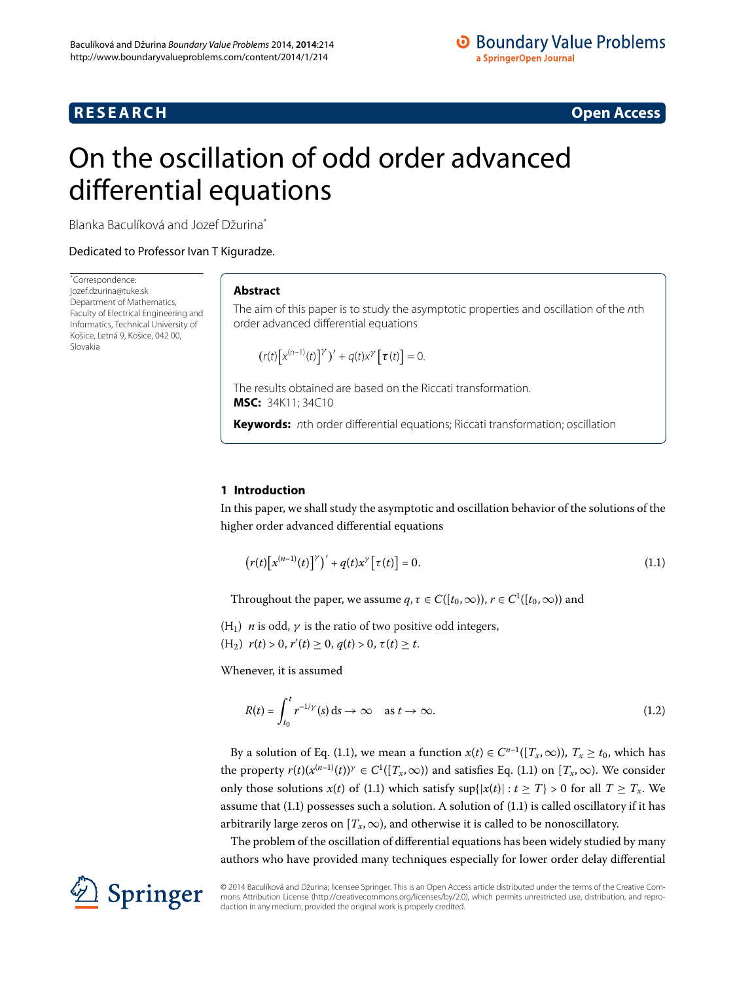# **RESEARCH CONSTRUCTED ACCESS**

# <span id="page-0-0"></span>On the oscillation of odd order advanced differential equations

Blanka Baculíková and Jozef Džurina[\\*](#page-0-0)

Dedicated to Professor Ivan T Kiguradze.

\* Correspondence: [jozef.dzurina@tuke.sk](mailto:jozef.dzurina@tuke.sk) Department of Mathematics, Faculty of Electrical Engineering and Informatics, Technical University of Košice, Letná 9, Košice, 042 00, Slovakia

# **Abstract**

The aim of this paper is to study the asymptotic properties and oscillation of the nth order advanced differential equations

<span id="page-0-1"></span>
$$
(r(t)[x^{(n-1)}(t)]^{\gamma})^{\prime} + q(t)x^{\gamma} [\tau(t)] = 0.
$$

The results obtained are based on the Riccati transformation. **MSC:** 34K11; 34C10

**Keywords:** nth order differential equations; Riccati transformation; oscillation

# **1 Introduction**

In this paper, we shall study the asymptotic and oscillation behavior of the solutions of the higher order advanced differential equations

<span id="page-0-2"></span>
$$
\left(r(t)\left[x^{(n-1)}(t)\right]^\gamma\right)' + q(t)x^\gamma\left[\tau(t)\right] = 0. \tag{1.1}
$$

Throughout the paper, we assume  $q, \tau \in C([t_0, \infty)), r \in C^1([t_0, \infty))$  and

(H<sub>1</sub>) *n* is odd,  $\gamma$  is the ratio of two positive odd integers,

 $(r|H_2)$   $r(t) > 0$ ,  $r'(t) \ge 0$ ,  $q(t) > 0$ ,  $\tau(t) \ge t$ .

Whenever, it is assumed

$$
R(t) = \int_{t_0}^t r^{-1/\gamma}(s) \, ds \to \infty \quad \text{as } t \to \infty.
$$
 (1.2)

By a solution of Eq[.](#page-0-1) (1.1), we mean a function  $x(t) \in C^{n-1}([T_x,\infty))$ ,  $T_x \ge t_0$ , which has the property  $r(t)(x^{(n-1)}(t))^\gamma \in C^1([T_x,\infty))$  and satisfies Eq. (1.1) on  $[T_x,\infty)$ . We consider only those solutions  $x(t)$  of (1.1) which satisfy  $\sup\{|x(t)| : t \geq T\} > 0$  for all  $T \geq T_x$ . We assume that  $(1.1)$  possesses such a solution. A solution of  $(1.1)$  is called oscillatory if it has arbitrarily large zeros on  $[T_x, \infty)$ , and otherwise it is called to be nonoscillatory.

The problem of the oscillation of differential equations has been widely studied by many authors who have provided many techniques especially for lower order delay differential

© 2014 Baculíková and Džurina; licensee Springer. This is an Open Access article distributed under the terms of the Creative Commons Attribution License (http://creativecommons.org/licenses/by/2.0), which permits unrestricted use, distribution, and reproduction in any medium, provided the original work is properly credited.

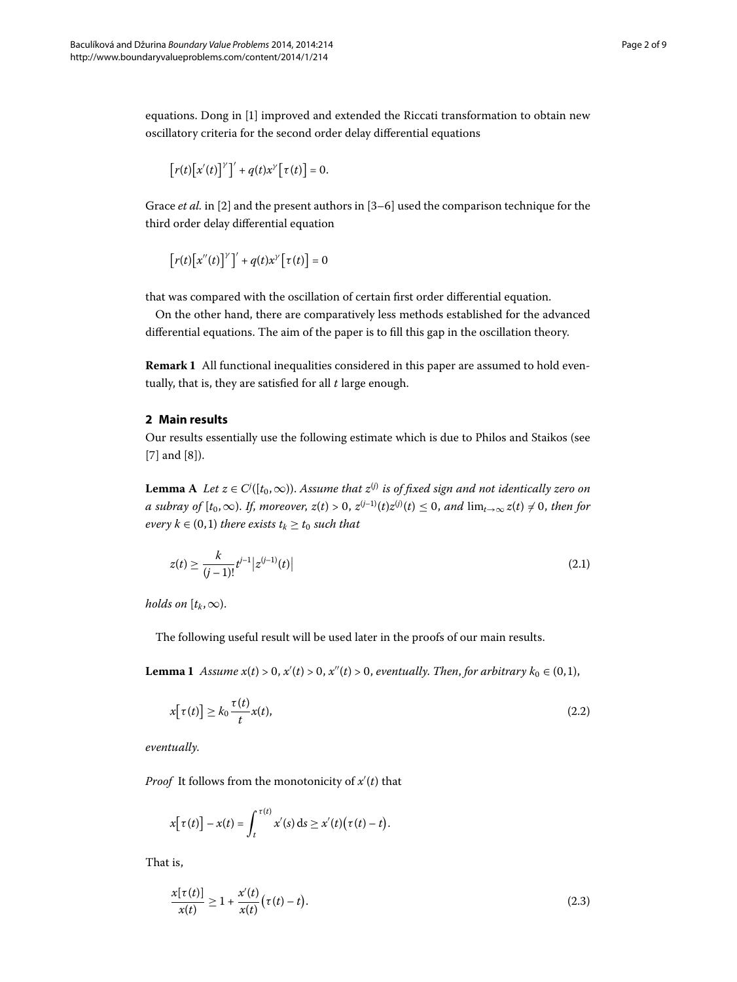equations. Dong in [\[](#page-8-0)] improved and extended the Riccati transformation to obtain new oscillatory criteria for the second order delay differential equations

$$
\left[r(t)\left[x'(t)\right]^{\gamma}\right]' + q(t)x^{\gamma}\left[\tau(t)\right] = 0.
$$

Grace *et al.* in [2[\]](#page-8-1) and the present authors in [3[–](#page-8-2)6] used the comparison technique for the third order delay differential equation

$$
\left[r(t)\left[x''(t)\right]^{\gamma}\right]' + q(t)x^{\gamma}\left[\tau(t)\right] = 0
$$

that was compared with the oscillation of certain first order differential equation.

On the other hand, there are comparatively less methods established for the advanced differential equations. The aim of the paper is to fill this gap in the oscillation theory.

<span id="page-1-2"></span>**Remark 1** All functional inequalities considered in this paper are assumed to hold eventually, that is, they are satisfied for all *t* large enough.

## **2 Main results**

Our results essentially use the following estimate which is due to Philos and Staikos (see  $[7]$  $[7]$  and  $[8]$ ).

**Lemma** A *Let*  $z \in C^j([t_0,\infty))$ . Assume that  $z^{(j)}$  is of fixed sign and not identically zero on *a* subray of  $[t_0, \infty)$ . If, moreover,  $z(t) > 0$ ,  $z^{(j-1)}(t)z^{(j)}(t) \leq 0$ , and  $\lim_{t\to\infty} z(t) \neq 0$ , then for *every*  $k \in (0, 1)$  *there exists*  $t_k \geq t_0$  *such that* 

<span id="page-1-1"></span>
$$
z(t) \ge \frac{k}{(j-1)!} t^{j-1} |z^{(j-1)}(t)| \tag{2.1}
$$

<span id="page-1-3"></span>*holds on*  $[t_k, \infty)$ .

The following useful result will be used later in the proofs of our main results.

**Lemma 1** Assume  $x(t) > 0$ ,  $x'(t) > 0$ ,  $x''(t) > 0$ , eventually. Then, for arbitrary  $k_0 \in (0,1)$ ,

$$
x[\tau(t)] \ge k_0 \frac{\tau(t)}{t} x(t), \tag{2.2}
$$

*eventually*.

*Proof* It follows from the monotonicity of  $x'(t)$  that

<span id="page-1-0"></span>
$$
x[\tau(t)] - x(t) = \int_t^{\tau(t)} x'(s) ds \ge x'(t) (\tau(t) - t).
$$

That is,

$$
\frac{x[\tau(t)]}{x(t)} \ge 1 + \frac{x'(t)}{x(t)}(\tau(t) - t).
$$
\n(2.3)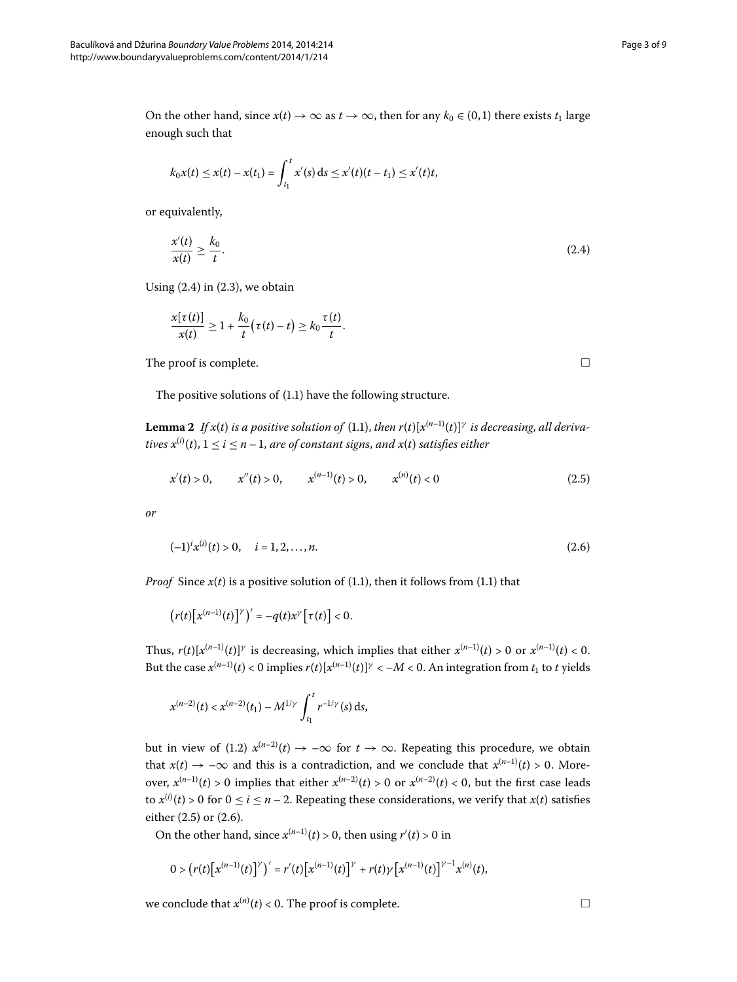On the other hand, since  $x(t) \to \infty$  as  $t \to \infty$ , then for any  $k_0 \in (0,1)$  there exists  $t_1$  large enough such that

$$
k_0x(t) \leq x(t) - x(t_1) = \int_{t_1}^t x'(s) \, ds \leq x'(t)(t - t_1) \leq x'(t)t,
$$

or equivalently,

$$
\frac{x'(t)}{x(t)} \ge \frac{k_0}{t}.\tag{2.4}
$$

<span id="page-2-3"></span>Using  $(2.4)$  $(2.4)$  $(2.4)$  in  $(2.3)$ , we obtain

$$
\frac{x[\tau(t)]}{x(t)} \geq 1 + \frac{k_0}{t}(\tau(t) - t) \geq k_0 \frac{\tau(t)}{t}.
$$

The proof is complete.

The positive solutions of  $(1.1)$  $(1.1)$  $(1.1)$  have the following structure.

**Lemma 2** If  $x(t)$  is a positive solution of (1.1), then  $r(t)[x^{(n-1)}(t)]^{\gamma}$  is decreasing, all deriva- $$ 

$$
x'(t) > 0, \qquad x''(t) > 0, \qquad x^{(n-1)}(t) > 0, \qquad x^{(n)}(t) < 0 \tag{2.5}
$$

*or*

$$
(-1)^{i} x^{(i)}(t) > 0, \quad i = 1, 2, \dots, n. \tag{2.6}
$$

*Proof* Since  $x(t)$  is a positive solution of (1[.](#page-0-1)1), then it follows from (1.1) that

 $(r(t)[x^{(n-1)}(t)]^{\gamma})' = -q(t)x^{\gamma}[t] < 0.$ 

Thus,  $r(t)[x^{(n-1)}(t)]^{\gamma}$  is decreasing, which implies that either  $x^{(n-1)}(t) > 0$  or  $x^{(n-1)}(t) < 0$ . But the case  $x^{(n-1)}(t) < 0$  implies  $r(t)[x^{(n-1)}(t)]^{\gamma} < -M < 0$ . An integration from  $t_1$  to *t* yields

$$
x^{(n-2)}(t) < x^{(n-2)}(t_1) - M^{1/\gamma} \int_{t_1}^t r^{-1/\gamma}(s) \, \mathrm{d}s,
$$

but in view of (1.2)  $x^{(n-2)}(t) \rightarrow -\infty$  for  $t \rightarrow \infty$ . Repeating this procedure, we obtain that  $x(t) \rightarrow -\infty$  and this is a contradiction, and we conclude that  $x^{(n-1)}(t) > 0$ . Moreover,  $x^{(n-1)}(t) > 0$  implies that either  $x^{(n-2)}(t) > 0$  or  $x^{(n-2)}(t) < 0$ , but the first case leads to  $x^{(i)}(t) > 0$  for  $0 \le i \le n-2$ . Repeating these considerations, we verify that  $x(t)$  satisfies either  $(2.5)$  $(2.5)$  $(2.5)$  or  $(2.6)$ .

On the other hand, since  $x^{(n-1)}(t) > 0$ , then using  $r'(t) > 0$  in

$$
0 > (r(t)[x^{(n-1)}(t)]^{\gamma})' = r'(t)[x^{(n-1)}(t)]^{\gamma} + r(t)\gamma[x^{(n-1)}(t)]^{\gamma-1}x^{(n)}(t),
$$

we conclude that  $x^{(n)}(t) < 0$ . The proof is complete.  $\Box$ 

<span id="page-2-2"></span><span id="page-2-1"></span><span id="page-2-0"></span> $\Box$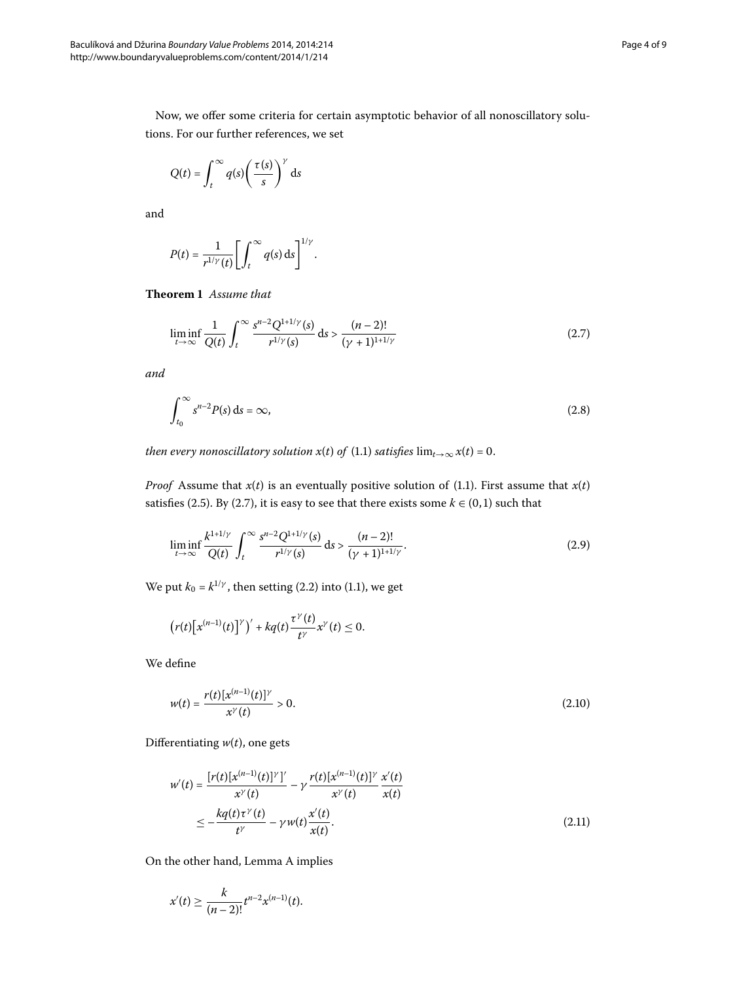Now, we offer some criteria for certain asymptotic behavior of all nonoscillatory solutions. For our further references, we set

$$
Q(t) = \int_t^\infty q(s) \left(\frac{\tau(s)}{s}\right)^{\gamma} ds
$$

<span id="page-3-4"></span>and

<span id="page-3-0"></span>
$$
P(t) = \frac{1}{r^{1/\gamma}(t)} \left[ \int_t^{\infty} q(s) \, \mathrm{d} s \right]^{1/\gamma}.
$$

**Theorem 1** Assume that

<span id="page-3-3"></span>
$$
\liminf_{t \to \infty} \frac{1}{Q(t)} \int_{t}^{\infty} \frac{s^{n-2} Q^{1+1/\gamma}(s)}{r^{1/\gamma}(s)} ds > \frac{(n-2)!}{(\gamma+1)^{1+1/\gamma}}
$$
\n(2.7)

*and*

<span id="page-3-2"></span>
$$
\int_{t_0}^{\infty} s^{n-2} P(s) \, \mathrm{d}s = \infty,\tag{2.8}
$$

*then every nonoscillatory solution*  $x(t)$  *of (1.1) satisfies*  $\lim_{t\to\infty} x(t) = 0$ .

*Proof* Assume that  $x(t)$  is an eventually positive solution of (1[.](#page-0-1)1). First assume that  $x(t)$ satisfies (2.5). By (2.7), it is easy to see that there exists some  $k \in (0,1)$  such that

$$
\liminf_{t \to \infty} \frac{k^{1+1/\gamma}}{Q(t)} \int_{t}^{\infty} \frac{s^{n-2} Q^{1+1/\gamma}(s)}{r^{1/\gamma}(s)} ds > \frac{(n-2)!}{(\gamma+1)^{1+1/\gamma}}.
$$
\n(2.9)

We put  $k_0 = k^{1/\gamma}$ , then setting (2[.](#page-0-1)2) into (1.1), we get

$$
\big(r(t)\big[x^{(n-1)}(t)\big]^{\gamma}\big)' + kq(t)\frac{\tau^{\gamma}(t)}{t^{\gamma}}x^{\gamma}(t) \leq 0.
$$

We define

<span id="page-3-1"></span>
$$
w(t) = \frac{r(t)[x^{(n-1)}(t)]^{\gamma}}{x^{\gamma}(t)} > 0.
$$
\n(2.10)

Differentiating *w*(*t*), one gets

$$
w'(t) = \frac{[r(t)[x^{(n-1)}(t)]^{\gamma}]}{x^{\gamma}(t)} - \gamma \frac{r(t)[x^{(n-1)}(t)]^{\gamma}}{x^{\gamma}(t)} \frac{x'(t)}{x(t)}
$$
  
 
$$
\leq -\frac{kq(t)\tau^{\gamma}(t)}{t^{\gamma}} - \gamma w(t) \frac{x'(t)}{x(t)}.
$$
 (2.11)

On the other hand, Lemma [A](#page-1-2) implies

$$
x'(t) \geq \frac{k}{(n-2)!} t^{n-2} x^{(n-1)}(t).
$$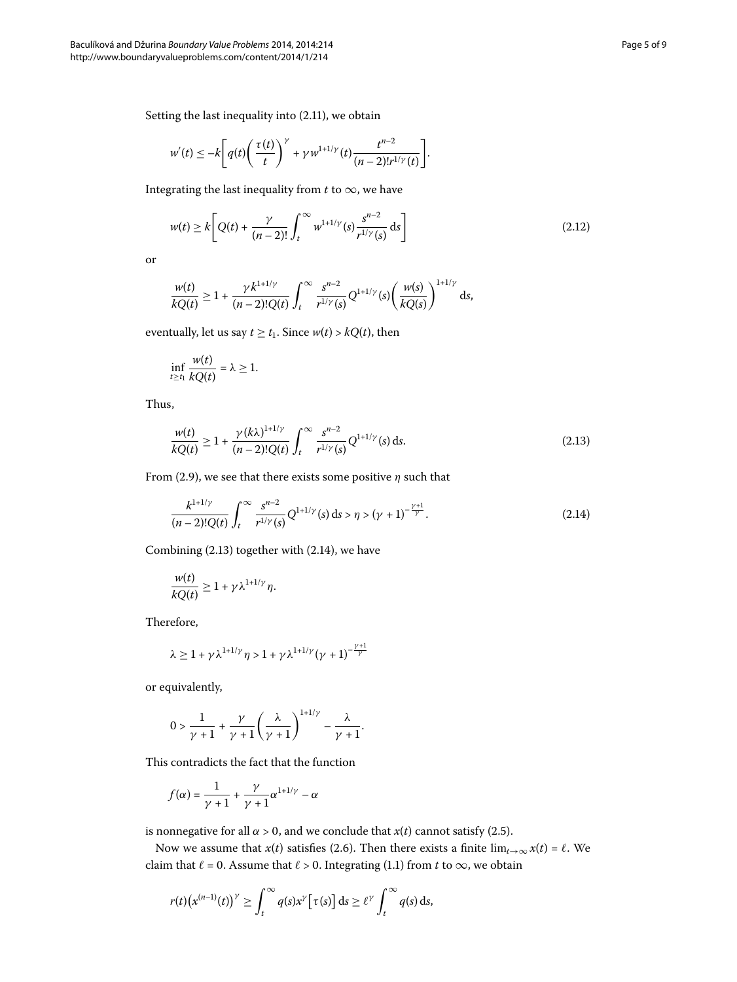Setting the last inequality into  $(2.11)$  $(2.11)$  $(2.11)$ , we obtain

<span id="page-4-2"></span>
$$
w'(t) \leq -k \bigg[ q(t) \bigg( \frac{\tau(t)}{t} \bigg)^{\gamma} + \gamma w^{1+1/\gamma} (t) \frac{t^{n-2}}{(n-2)! r^{1/\gamma} (t)} \bigg].
$$

Integrating the last inequality from  $t$  to  $\infty$ , we have

$$
w(t) \ge k \left[ Q(t) + \frac{\gamma}{(n-2)!} \int_{t}^{\infty} w^{1+1/\gamma} (s) \frac{s^{n-2}}{r^{1/\gamma} (s)} ds \right]
$$
 (2.12)

or

$$
\frac{w(t)}{kQ(t)} \ge 1 + \frac{\gamma k^{1+1/\gamma}}{(n-2)!(Q(t))} \int_t^{\infty} \frac{s^{n-2}}{r^{1/\gamma}(s)} Q^{1+1/\gamma}(s) \left(\frac{w(s)}{kQ(s)}\right)^{1+1/\gamma} ds,
$$

eventually, let us say  $t \ge t_1$ . Since  $w(t) > kQ(t)$ , then

<span id="page-4-0"></span>
$$
\inf_{t\geq t_1}\frac{w(t)}{kQ(t)}=\lambda\geq 1.
$$

Thus,

<span id="page-4-1"></span>
$$
\frac{w(t)}{kQ(t)} \ge 1 + \frac{\gamma (k\lambda)^{1+1/\gamma}}{(n-2)!Q(t)} \int_{t}^{\infty} \frac{s^{n-2}}{r^{1/\gamma}(s)} Q^{1+1/\gamma}(s) ds.
$$
\n(2.13)

From (2.9), we see that there exists some positive  $\eta$  such that

$$
\frac{k^{1+1/\gamma}}{(n-2)!Q(t)} \int_{t}^{\infty} \frac{s^{n-2}}{r^{1/\gamma}(s)} Q^{1+1/\gamma}(s) ds > \eta > (\gamma+1)^{-\frac{\gamma+1}{\gamma}}.
$$
 (2.14)

Combining  $(2.13)$  together with  $(2.14)$ , we have

$$
\frac{w(t)}{kQ(t)} \geq 1 + \gamma \lambda^{1+1/\gamma} \eta.
$$

Therefore,

$$
\lambda \geq 1 + \gamma \lambda^{1+1/\gamma} \eta > 1 + \gamma \lambda^{1+1/\gamma} (\gamma + 1)^{-\frac{\gamma + 1}{\gamma}}
$$

or equivalently,

$$
0 > \frac{1}{\gamma + 1} + \frac{\gamma}{\gamma + 1} \left(\frac{\lambda}{\gamma + 1}\right)^{1 + 1/\gamma} - \frac{\lambda}{\gamma + 1}.
$$

This contradicts the fact that the function

$$
f(\alpha)=\frac{1}{\gamma+1}+\frac{\gamma}{\gamma+1}\alpha^{1+1/\gamma}-\alpha
$$

is nonnegative for all  $\alpha > 0$ , and we conclude that  $x(t)$  cannot satisfy (2.5).

Now we assume that *x*(*t*) satisfies (2[.](#page-2-2)6). Then there exists a finite  $\lim_{t\to\infty} x(t) = \ell$ . We claim that  $\ell = 0$ . Assume that  $\ell > 0$ . Integrating (1.1) from *t* to  $\infty$ , we obtain

$$
r(t)\big(x^{(n-1)}(t)\big)^{\gamma} \geq \int_t^{\infty} q(s)x^{\gamma} \big[\tau(s)\big] ds \geq \ell^{\gamma} \int_t^{\infty} q(s) ds,
$$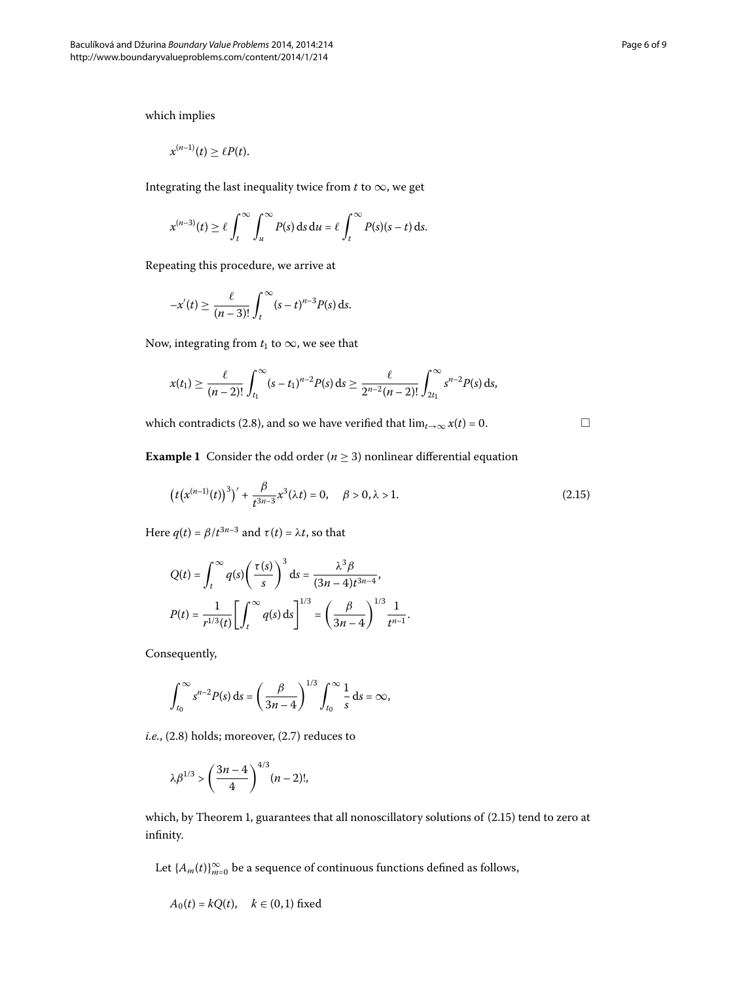which implies

$$
x^{(n-1)}(t) \geq \ell P(t).
$$

Integrating the last inequality twice from  $t$  to  $\infty$ , we get

$$
x^{(n-3)}(t) \geq \ell \int_t^{\infty} \int_u^{\infty} P(s) \, \mathrm{d} s \, \mathrm{d} u = \ell \int_t^{\infty} P(s)(s-t) \, \mathrm{d} s.
$$

Repeating this procedure, we arrive at

$$
-x'(t) \geq \frac{\ell}{(n-3)!} \int_t^{\infty} (s-t)^{n-3} P(s) \, \mathrm{d} s.
$$

Now, integrating from  $t_1$  to  $\infty$ , we see that

$$
x(t_1) \geq \frac{\ell}{(n-2)!} \int_{t_1}^{\infty} (s-t_1)^{n-2} P(s) ds \geq \frac{\ell}{2^{n-2}(n-2)!} \int_{2t_1}^{\infty} s^{n-2} P(s) ds,
$$

which contradicts (2.8), and so we have verified that  $\lim_{t\to\infty} x(t) = 0$ .

<span id="page-5-0"></span> $\Box$ 

**Example 1** Consider the odd order ( $n \ge 3$ ) nonlinear differential equation

$$
\left(t\left(x^{(n-1)}(t)\right)^3\right)' + \frac{\beta}{t^{3n-3}}x^3(\lambda t) = 0, \quad \beta > 0, \lambda > 1.
$$
 (2.15)

Here  $q(t) = \beta/t^{3n-3}$  and  $\tau(t) = \lambda t$ , so that

$$
Q(t) = \int_t^{\infty} q(s) \left(\frac{\tau(s)}{s}\right)^3 ds = \frac{\lambda^3 \beta}{(3n-4)t^{3n-4}},
$$

$$
P(t) = \frac{1}{r^{1/3}(t)} \left[ \int_t^{\infty} q(s) ds \right]^{1/3} = \left(\frac{\beta}{3n-4}\right)^{1/3} \frac{1}{t^{n-1}}.
$$

Consequently,

$$
\int_{t_0}^{\infty} s^{n-2} P(s) \, ds = \left( \frac{\beta}{3n-4} \right)^{1/3} \int_{t_0}^{\infty} \frac{1}{s} \, ds = \infty,
$$

 $i.e., (2.8) holds; moreover, (2.7) reduces to$  $i.e., (2.8) holds; moreover, (2.7) reduces to$  $i.e., (2.8) holds; moreover, (2.7) reduces to$ 

$$
\lambda \beta^{1/3} > \left(\frac{3n-4}{4}\right)^{4/3} (n-2)!,
$$

which[,](#page-3-4) by Theorem 1, guarantees that all nonoscillatory solutions of  $(2.15)$  tend to zero at infinity.

Let  $\{A_m(t)\}_{m=0}^\infty$  be a sequence of continuous functions defined as follows,

$$
A_0(t) = kQ(t), \quad k \in (0,1) \text{ fixed}
$$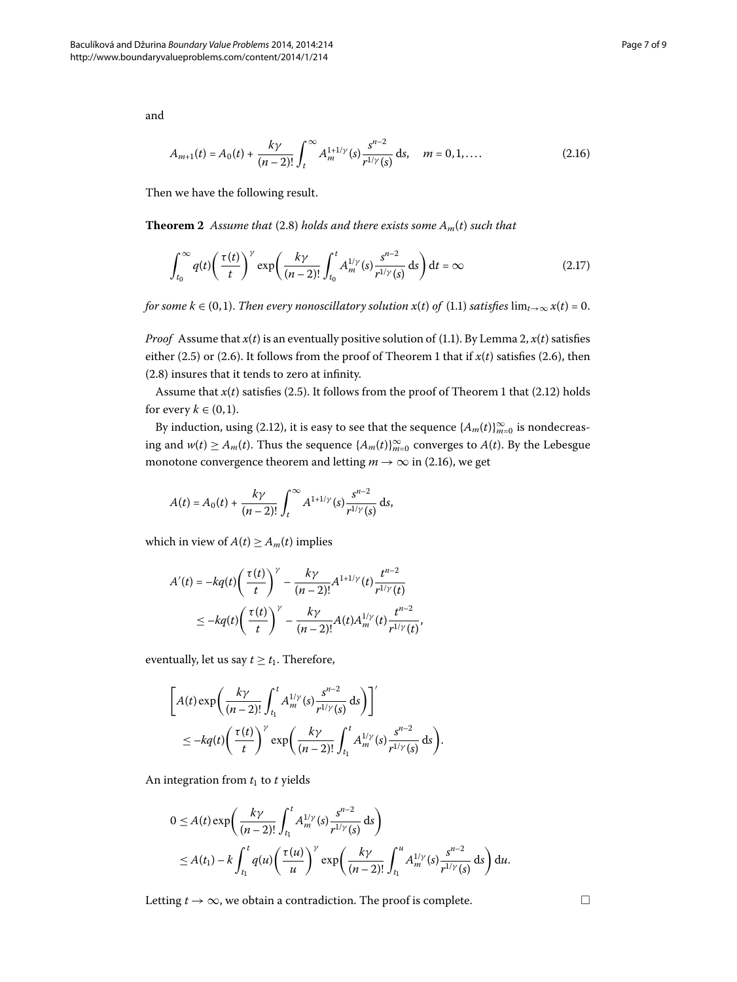<span id="page-6-0"></span>
$$
A_{m+1}(t) = A_0(t) + \frac{k\gamma}{(n-2)!} \int_t^{\infty} A_m^{1+1/\gamma}(s) \frac{s^{n-2}}{r^{1/\gamma}(s)} ds, \quad m = 0, 1, .... \tag{2.16}
$$

Then we have the following result.

**Theorem 2** Assume that (2[.](#page-3-3)8) holds and there exists some  $A_m(t)$  such that

$$
\int_{t_0}^{\infty} q(t) \left(\frac{\tau(t)}{t}\right)^{\gamma} \exp\left(\frac{k\gamma}{(n-2)!} \int_{t_0}^t A_m^{1/\gamma}(s) \frac{s^{n-2}}{r^{1/\gamma}(s)} ds\right) dt = \infty \tag{2.17}
$$

*for some k* ∈ (0,1)[.](#page-0-1) *Then every nonoscillatory solution*  $x(t)$  *of* (1.1) *satisfies* lim<sub> $t\rightarrow\infty$ </sub>  $x(t) = 0$ .

*Proof* Assume that  $x(t)$  is an eventually positive solution of (1[.](#page-0-1)1). By Lemma 2,  $x(t)$  satisfies either (2[.](#page-2-2)5) or (2.6). It follows from the proof of Theorem 1 that if  $x(t)$  satisfies (2.6), then  $(2.8)$  insures that it tends to zero at infinity.

Assume that  $x(t)$  satisfies (2[.](#page-2-1)5). It follows from the proof of Theorem 1 that (2.12) holds for every  $k \in (0, 1)$ .

By induction, using (2.12), it is easy to see that the sequence  $\{A_m(t)\}_{m=0}^{\infty}$  is nondecreasing and  $w(t) \ge A_m(t)$ . Thus the sequence  $\{A_m(t)\}_{m=0}^{\infty}$  converges to  $A(t)$ . By the Lebesgue monotone convergence theorem and letting  $m \to \infty$  in (2.16), we get

$$
A(t) = A_0(t) + \frac{k\gamma}{(n-2)!} \int_t^{\infty} A^{1+1/\gamma}(s) \frac{s^{n-2}}{r^{1/\gamma}(s)} ds,
$$

which in view of  $A(t) \ge A_m(t)$  implies

$$
A'(t) = -kq(t)\left(\frac{\tau(t)}{t}\right)^{\gamma} - \frac{k\gamma}{(n-2)!}A^{1+1/\gamma}(t)\frac{t^{n-2}}{r^{1/\gamma}(t)}
$$
  

$$
\leq -kq(t)\left(\frac{\tau(t)}{t}\right)^{\gamma} - \frac{k\gamma}{(n-2)!}A(t)A_m^{1/\gamma}(t)\frac{t^{n-2}}{r^{1/\gamma}(t)},
$$

eventually, let us say  $t \geq t_1$ . Therefore,

$$
\left[A(t)\exp\left(\frac{k\gamma}{(n-2)!}\int_{t_1}^t A_m^{1/\gamma}(s)\frac{s^{n-2}}{r^{1/\gamma}(s)}\,ds\right)\right]'
$$
  
 
$$
\leq -kq(t)\left(\frac{\tau(t)}{t}\right)^{\gamma}\exp\left(\frac{k\gamma}{(n-2)!}\int_{t_1}^t A_m^{1/\gamma}(s)\frac{s^{n-2}}{r^{1/\gamma}(s)}\,ds\right).
$$

An integration from  $t_1$  to  $t$  yields

$$
0 \le A(t) \exp\left(\frac{k\gamma}{(n-2)!} \int_{t_1}^t A_m^{1/\gamma}(s) \frac{s^{n-2}}{r^{1/\gamma}(s)} ds\right)
$$
  
 
$$
\le A(t_1) - k \int_{t_1}^t q(u) \left(\frac{\tau(u)}{u}\right)^{\gamma} \exp\left(\frac{k\gamma}{(n-2)!} \int_{t_1}^u A_m^{1/\gamma}(s) \frac{s^{n-2}}{r^{1/\gamma}(s)} ds\right) du.
$$

Letting *t*  $\rightarrow \infty$ , we obtain a contradiction. The proof is complete.

and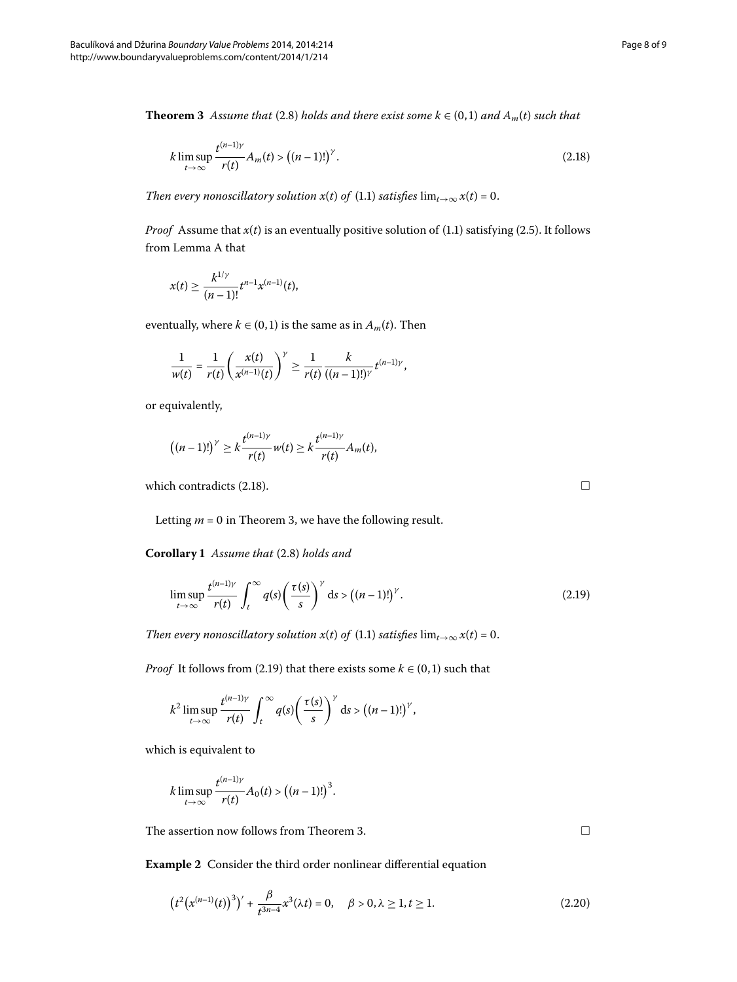<span id="page-7-1"></span>**Theorem 3** Assume that (2[.](#page-3-3)8) holds and there exist some  $k \in (0,1)$  and  $A_m(t)$  such that

<span id="page-7-0"></span>
$$
k \limsup_{t \to \infty} \frac{t^{(n-1)\gamma}}{r(t)} A_m(t) > \left( (n-1)!\right)^{\gamma}.
$$
 (2.18)

*Then every nonoscillatory solution*  $x(t)$  *of (1.1) satisfies*  $\lim_{t\to\infty} x(t) = 0$ .

*Proof* Assume that  $x(t)$  is an eventually positive solution of (1[.](#page-0-1)1) satisfying (2.5). It follows from Lemma [A](#page-1-2) that

$$
x(t) \geq \frac{k^{1/\gamma}}{(n-1)!}t^{n-1}x^{(n-1)}(t),
$$

eventually, where  $k \in (0, 1)$  is the same as in  $A_m(t)$ . Then

$$
\frac{1}{w(t)} = \frac{1}{r(t)} \left( \frac{x(t)}{x^{(n-1)}(t)} \right)^{\gamma} \ge \frac{1}{r(t)} \frac{k}{((n-1)!)^{\gamma}} t^{(n-1)\gamma},
$$

<span id="page-7-3"></span>or equivalently,

$$
((n-1)!)^{\gamma} \geq k \frac{t^{(n-1)\gamma}}{r(t)} w(t) \geq k \frac{t^{(n-1)\gamma}}{r(t)} A_m(t),
$$

which contradicts (2.18).

Letting  $m = 0$  in Theorem 3, we have the following result.

**Corollary 1** Assume that (2[.](#page-3-3)8) holds and

$$
\limsup_{t \to \infty} \frac{t^{(n-1)\gamma}}{r(t)} \int_{t}^{\infty} q(s) \left(\frac{\tau(s)}{s}\right)^{\gamma} ds > \left((n-1)!\right)^{\gamma}.
$$
 (2.19)

*Then every nonoscillatory solution*  $x(t)$  *of* (1.1) *satisfies*  $\lim_{t\to\infty} x(t) = 0$ .

*Proof* It follows from (2.19) that there exists some  $k \in (0, 1)$  such that

$$
k^2 \limsup_{t \to \infty} \frac{t^{(n-1)\gamma}}{r(t)} \int_t^{\infty} q(s) \left(\frac{\tau(s)}{s}\right)^{\gamma} ds > ((n-1)!)^{\gamma},
$$

which is equivalent to

$$
k \limsup_{t \to \infty} \frac{t^{(n-1)\gamma}}{r(t)} A_0(t) > ((n-1)!)^3.
$$

The assertion now follows from Theorem 3[.](#page-7-1)

**Example 2** Consider the third order nonlinear differential equation

$$
\left(t^2\big(x^{(n-1)}(t)\big)^3\right)' + \frac{\beta}{t^{3n-4}}x^3(\lambda t) = 0, \quad \beta > 0, \lambda \ge 1, t \ge 1. \tag{2.20}
$$

<span id="page-7-2"></span> $\Box$ 

<span id="page-7-4"></span> $\Box$